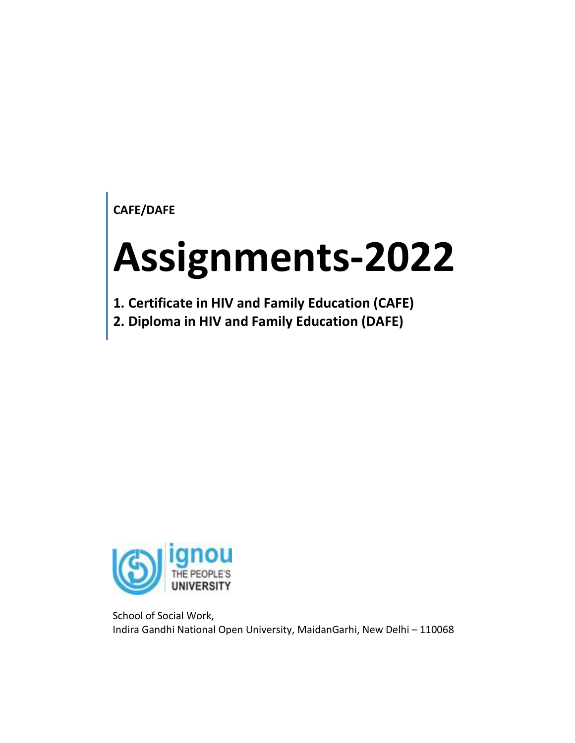**CAFE/DAFE**

# **Assignments-2022**

**1. Certificate in HIV and Family Education (CAFE)**

**2. Diploma in HIV and Family Education (DAFE)**



School of Social Work, Indira Gandhi National Open University, MaidanGarhi, New Delhi – 110068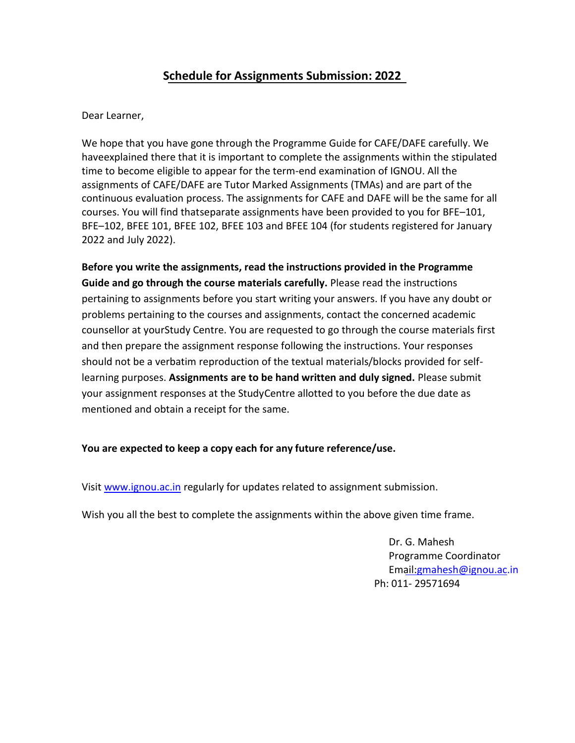# **Schedule for Assignments Submission: 2022**

Dear Learner,

We hope that you have gone through the Programme Guide for CAFE/DAFE carefully. We haveexplained there that it is important to complete the assignments within the stipulated time to become eligible to appear for the term-end examination of IGNOU. All the assignments of CAFE/DAFE are Tutor Marked Assignments (TMAs) and are part of the continuous evaluation process. The assignments for CAFE and DAFE will be the same for all courses. You will find thatseparate assignments have been provided to you for BFE–101, BFE–102, BFEE 101, BFEE 102, BFEE 103 and BFEE 104 (for students registered for January 2022 and July 2022).

**Before you write the assignments, read the instructions provided in the Programme Guide and go through the course materials carefully.** Please read the instructions pertaining to assignments before you start writing your answers. If you have any doubt or problems pertaining to the courses and assignments, contact the concerned academic counsellor at yourStudy Centre. You are requested to go through the course materials first and then prepare the assignment response following the instructions. Your responses should not be a verbatim reproduction of the textual materials/blocks provided for selflearning purposes. **Assignments are to be hand written and duly signed.** Please submit your assignment responses at the StudyCentre allotted to you before the due date as mentioned and obtain a receipt for the same.

### **You are expected to keep a copy each for any future reference/use.**

Visi[t www.ignou.ac.in](http://www.ignou.ac.in/) regularly for updates related to assignment submission.

Wish you all the best to complete the assignments within the above given time frame.

Dr. G. Mahesh Programme Coordinator Email[:gmahesh@ignou.ac.in](mailto:gmahesh@ignou.ac.in) Ph: 011- 29571694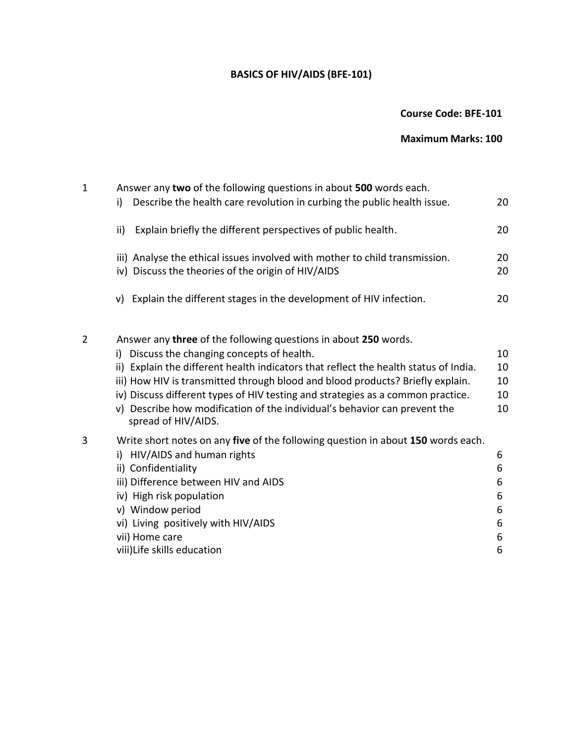# **BASICS OF HIV/AIDS (BFE-101)**

# **Course Code: BFE-101**

# **Maximum Marks: 100**

| 1 | Answer any two of the following questions in about 500 words each.                                                                |          |
|---|-----------------------------------------------------------------------------------------------------------------------------------|----------|
|   | Describe the health care revolution in curbing the public health issue.<br>i)                                                     | 20       |
|   | Explain briefly the different perspectives of public health.<br>ii)                                                               | 20       |
|   | iii) Analyse the ethical issues involved with mother to child transmission.<br>iv) Discuss the theories of the origin of HIV/AIDS | 20<br>20 |
|   | Explain the different stages in the development of HIV infection.<br>V)                                                           | 20       |
| 2 | Answer any three of the following questions in about 250 words.<br>Discuss the changing concepts of health.<br>i)                 | 10       |
|   | ii) Explain the different health indicators that reflect the health status of India.                                              | 10       |
|   | iii) How HIV is transmitted through blood and blood products? Briefly explain.                                                    | 10       |
|   | iv) Discuss different types of HIV testing and strategies as a common practice.                                                   | 10       |
|   | v) Describe how modification of the individual's behavior can prevent the<br>spread of HIV/AIDS.                                  | 10       |
| 3 | Write short notes on any five of the following question in about 150 words each.                                                  |          |
|   | i) HIV/AIDS and human rights                                                                                                      | 6        |
|   | ii) Confidentiality                                                                                                               | 6        |
|   | iii) Difference between HIV and AIDS                                                                                              | 6        |
|   | iv) High risk population                                                                                                          | 6        |
|   | v) Window period                                                                                                                  | 6        |
|   | vi) Living positively with HIV/AIDS                                                                                               | 6        |
|   | vii) Home care                                                                                                                    | 6        |
|   | viii) Life skills education                                                                                                       | 6        |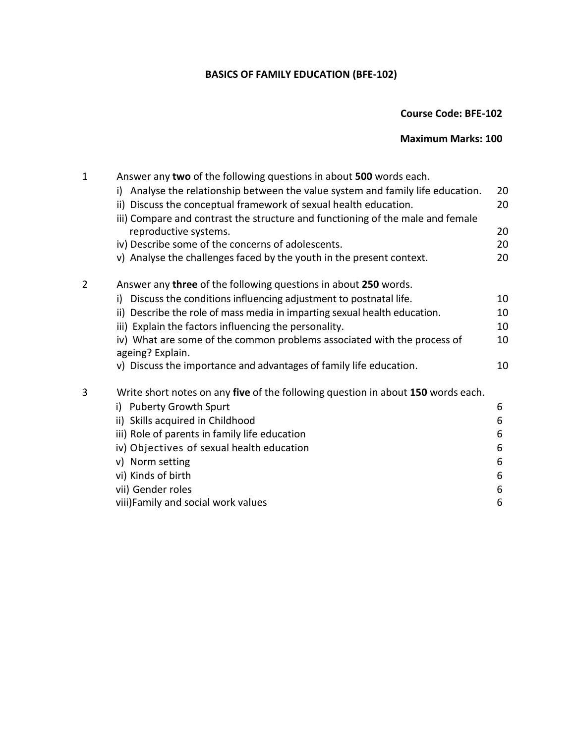# **BASICS OF FAMILY EDUCATION (BFE-102)**

# **Course Code: BFE-102**

# **Maximum Marks: 100**

| $\mathbf 1$    | Answer any two of the following questions in about 500 words each.                          |    |
|----------------|---------------------------------------------------------------------------------------------|----|
|                | Analyse the relationship between the value system and family life education.<br>i)          | 20 |
|                | ii) Discuss the conceptual framework of sexual health education.                            | 20 |
|                | iii) Compare and contrast the structure and functioning of the male and female              |    |
|                | reproductive systems.                                                                       | 20 |
|                | iv) Describe some of the concerns of adolescents.                                           | 20 |
|                | v) Analyse the challenges faced by the youth in the present context.                        | 20 |
| $\overline{2}$ | Answer any three of the following questions in about 250 words.                             |    |
|                | Discuss the conditions influencing adjustment to postnatal life.<br>i)                      | 10 |
|                | ii) Describe the role of mass media in imparting sexual health education.                   | 10 |
|                | iii) Explain the factors influencing the personality.                                       | 10 |
|                | iv) What are some of the common problems associated with the process of<br>ageing? Explain. | 10 |
|                | v) Discuss the importance and advantages of family life education.                          | 10 |
| 3              | Write short notes on any five of the following question in about 150 words each.            |    |
|                | i) Puberty Growth Spurt                                                                     | 6  |
|                | ii) Skills acquired in Childhood                                                            | 6  |
|                | iii) Role of parents in family life education                                               | 6  |
|                | iv) Objectives of sexual health education                                                   | 6  |
|                | v) Norm setting                                                                             | 6  |
|                | vi) Kinds of birth                                                                          | 6  |
|                | vii) Gender roles                                                                           | 6  |
|                | viii)Family and social work values                                                          | 6  |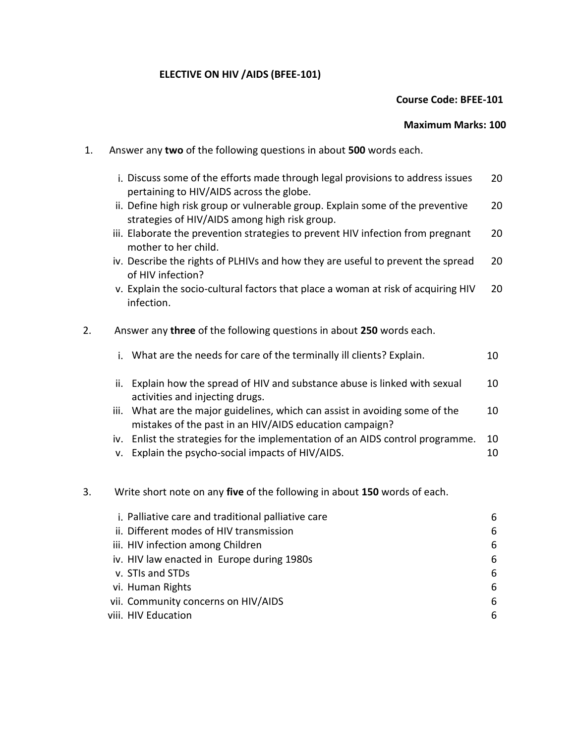#### **ELECTIVE ON HIV /AIDS (BFEE-101)**

#### **Course Code: BFEE-101**

#### **Maximum Marks: 100**

- 1. Answer any **two** of the following questions in about **500** words each.
	- i. Discuss some of the efforts made through legal provisions to address issues pertaining to HIV/AIDS across the globe. 20
	- ii. Define high risk group or vulnerable group. Explain some of the preventive strategies of HIV/AIDS among high risk group. 20
	- iii. Elaborate the prevention strategies to prevent HIV infection from pregnant mother to her child. 20
	- iv. Describe the rights of PLHIVs and how they are useful to prevent the spread of HIV infection? 20
	- v. Explain the socio-cultural factors that place a woman at risk of acquiring HIV infection. 20
- 2. Answer any **three** of the following questions in about **250** words each.

| i. What are the needs for care of the terminally ill clients? Explain.            | 10                              |
|-----------------------------------------------------------------------------------|---------------------------------|
| Explain how the spread of HIV and substance abuse is linked with sexual<br>ii.    | 10                              |
| iii. What are the major guidelines, which can assist in avoiding some of the      | 10                              |
| mistakes of the past in an HIV/AIDS education campaign?                           |                                 |
| Enlist the strategies for the implementation of an AIDS control programme.<br>iv. | 10                              |
|                                                                                   | activities and injecting drugs. |

v. Explain the psycho-social impacts of HIV/AIDS. The state of the state of the state of the state of the state of the state of the state of the state of the state of the state of the state of the state of the state of the

#### 3. Write short note on any **five** of the following in about **150** words of each.

| i. Palliative care and traditional palliative care | 6 |
|----------------------------------------------------|---|
| ii. Different modes of HIV transmission            | 6 |
| iii. HIV infection among Children                  | 6 |
| iv. HIV law enacted in Europe during 1980s         | 6 |
| v. STIs and STDs                                   | 6 |
| vi. Human Rights                                   | 6 |
| vii. Community concerns on HIV/AIDS                | 6 |
| viii. HIV Education                                | 6 |
|                                                    |   |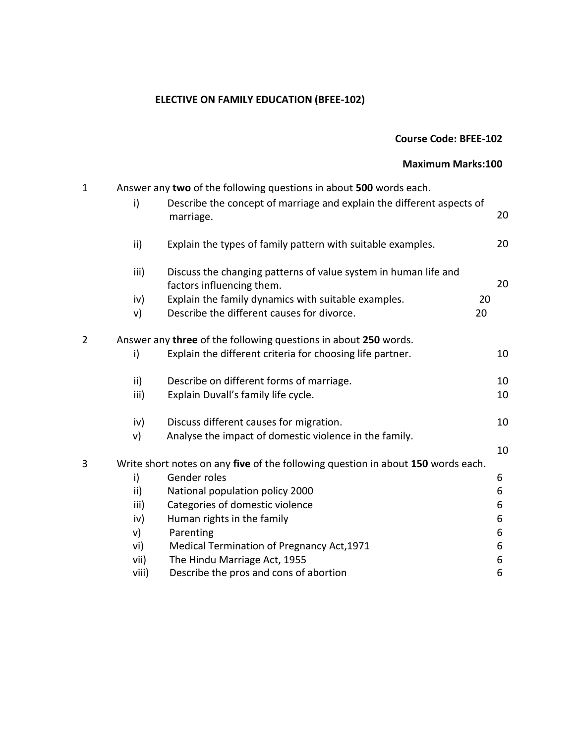# **ELECTIVE ON FAMILY EDUCATION (BFEE-102)**

|   |                                | <b>Course Code: BFEE-102</b>                                                                                                                                                                      |                       |
|---|--------------------------------|---------------------------------------------------------------------------------------------------------------------------------------------------------------------------------------------------|-----------------------|
|   |                                | <b>Maximum Marks:100</b>                                                                                                                                                                          |                       |
| 1 | i)                             | Answer any two of the following questions in about 500 words each.<br>Describe the concept of marriage and explain the different aspects of<br>marriage.                                          | 20                    |
|   | ii)                            | Explain the types of family pattern with suitable examples.                                                                                                                                       | 20                    |
|   | iii)<br>iv)<br>v)              | Discuss the changing patterns of value system in human life and<br>factors influencing them.<br>Explain the family dynamics with suitable examples.<br>Describe the different causes for divorce. | 20<br>20<br>20        |
| 2 | i)                             | Answer any three of the following questions in about 250 words.<br>Explain the different criteria for choosing life partner.                                                                      | 10                    |
|   | ii)<br>iii)                    | Describe on different forms of marriage.<br>Explain Duvall's family life cycle.                                                                                                                   | 10<br>10              |
|   | iv)<br>v)                      | Discuss different causes for migration.<br>Analyse the impact of domestic violence in the family.                                                                                                 | 10                    |
| 3 |                                | Write short notes on any five of the following question in about 150 words each.                                                                                                                  | 10                    |
|   | i)<br>ii)<br>iii)<br>iv)<br>v) | Gender roles<br>National population policy 2000<br>Categories of domestic violence<br>Human rights in the family<br>Parenting                                                                     | 6<br>6<br>6<br>6<br>6 |
|   | vi)<br>vii)<br>viii)           | Medical Termination of Pregnancy Act, 1971<br>The Hindu Marriage Act, 1955<br>Describe the pros and cons of abortion                                                                              | 6<br>6<br>6           |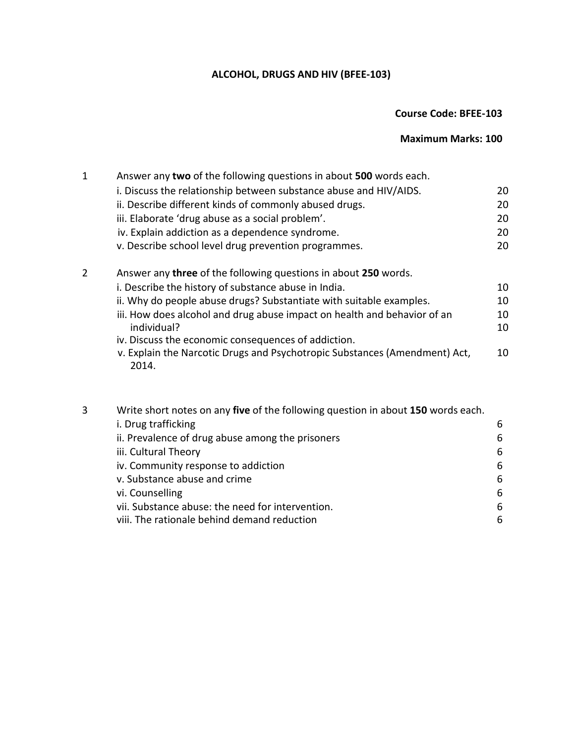# **ALCOHOL, DRUGS AND HIV (BFEE-103)**

# **Course Code: BFEE-103**

## **Maximum Marks: 100**

| $\mathbf 1$    | Answer any two of the following questions in about 500 words each.                      |          |  |
|----------------|-----------------------------------------------------------------------------------------|----------|--|
|                | i. Discuss the relationship between substance abuse and HIV/AIDS.                       | 20       |  |
|                | ii. Describe different kinds of commonly abused drugs.                                  | 20       |  |
|                | iii. Elaborate 'drug abuse as a social problem'.                                        | 20       |  |
|                | iv. Explain addiction as a dependence syndrome.                                         | 20       |  |
|                | v. Describe school level drug prevention programmes.                                    | 20       |  |
| $\overline{2}$ | Answer any three of the following questions in about 250 words.                         |          |  |
|                | i. Describe the history of substance abuse in India.                                    | 10       |  |
|                | ii. Why do people abuse drugs? Substantiate with suitable examples.                     | 10       |  |
|                | iii. How does alcohol and drug abuse impact on health and behavior of an<br>individual? | 10<br>10 |  |
|                | iv. Discuss the economic consequences of addiction.                                     |          |  |
|                | v. Explain the Narcotic Drugs and Psychotropic Substances (Amendment) Act,<br>2014.     | 10       |  |
|                |                                                                                         |          |  |
| 3              | Write short notes on any five of the following question in about 150 words each.        |          |  |

| i. Drug trafficking                              | 6 |
|--------------------------------------------------|---|
| ii. Prevalence of drug abuse among the prisoners | 6 |
| iii. Cultural Theory                             | 6 |
| iv. Community response to addiction              | 6 |
| v. Substance abuse and crime                     | 6 |
| vi. Counselling                                  | 6 |
| vii. Substance abuse: the need for intervention. | 6 |
| viii. The rationale behind demand reduction      | 6 |
|                                                  |   |